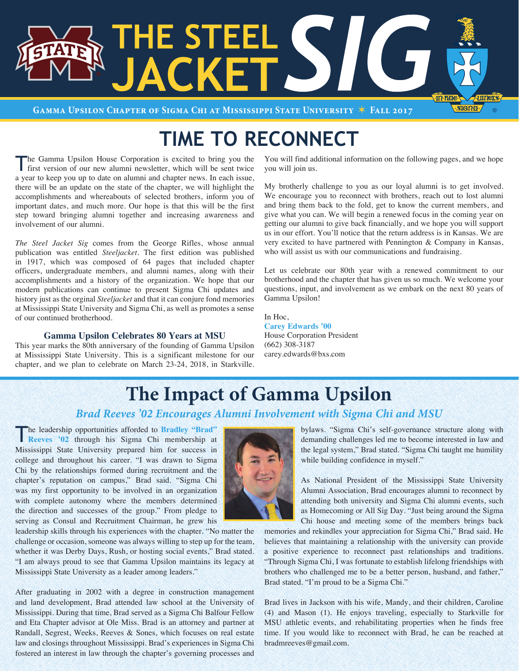

**Gamma Upsilon Chapter of Sigma Chi at Mississippi State University** V **Fall 2017**

# **TIME TO RECONNECT**

The Gamma Upsilon House Corporation is excited to bring you the first version of our new alumni newsletter, which will be sent twice a year to keep you up to date on alumni and chapter news. In each issue, there will be an update on the state of the chapter, we will highlight the accomplishments and whereabouts of selected brothers, inform you of important dates, and much more. Our hope is that this will be the first step toward bringing alumni together and increasing awareness and involvement of our alumni.

*The Steel Jacket Sig* comes from the George Rifles, whose annual publication was entitled *Steeljacket*. The first edition was published in 1917, which was composed of 64 pages that included chapter officers, undergraduate members, and alumni names, along with their accomplishments and a history of the organization. We hope that our modern publications can continue to present Sigma Chi updates and history just as the orginal *Steeljacket* and that it can conjure fond memories at Mississippi State University and Sigma Chi, as well as promotes a sense of our continued brotherhood.

### **Gamma Upsilon Celebrates 80 Years at MSU**

This year marks the 80th anniversary of the founding of Gamma Upsilon at Mississippi State University. This is a significant milestone for our chapter, and we plan to celebrate on March 23-24, 2018, in Starkville.

You will find additional information on the following pages, and we hope you will join us.

My brotherly challenge to you as our loyal alumni is to get involved. We encourage you to reconnect with brothers, reach out to lost alumni and bring them back to the fold, get to know the current members, and give what you can. We will begin a renewed focus in the coming year on getting our alumni to give back financially, and we hope you will support us in our effort. You'll notice that the return address is in Kansas. We are very excited to have partnered with Pennington & Company in Kansas, who will assist us with our communications and fundraising.

Let us celebrate our 80th year with a renewed commitment to our brotherhood and the chapter that has given us so much. We welcome your questions, input, and involvement as we embark on the next 80 years of Gamma Upsilon!

In Hoc, **Carey Edwards '00** House Corporation President (662) 308-3187 carey.edwards@bxs.com

# **The Impact of Gamma Upsilon**

### *Brad Reeves '02 Encourages Alumni Involvement with Sigma Chi and MSU*

The leadership opportunities afforded to **Bradley "Brad" Reeves '02** through his Sigma Chi membership at Mississippi State University prepared him for success in college and throughout his career. "I was drawn to Sigma Chi by the relationships formed during recruitment and the chapter's reputation on campus," Brad said. "Sigma Chi was my first opportunity to be involved in an organization with complete autonomy where the members determined the direction and successes of the group." From pledge to serving as Consul and Recruitment Chairman, he grew his

leadership skills through his experiences with the chapter. "No matter the challenge or occasion, someone was always willing to step up for the team, whether it was Derby Days, Rush, or hosting social events," Brad stated. "I am always proud to see that Gamma Upsilon maintains its legacy at Mississippi State University as a leader among leaders."

After graduating in 2002 with a degree in construction management and land development, Brad attended law school at the University of Mississippi. During that time, Brad served as a Sigma Chi Balfour Fellow and Eta Chapter advisor at Ole Miss. Brad is an attorney and partner at Randall, Segrest, Weeks, Reeves & Sones, which focuses on real estate law and closings throughout Mississippi. Brad's experiences in Sigma Chi fostered an interest in law through the chapter's governing processes and

bylaws. "Sigma Chi's self-governance structure along with demanding challenges led me to become interested in law and the legal system," Brad stated. "Sigma Chi taught me humility while building confidence in myself."

As National President of the Mississippi State University Alumni Association, Brad encourages alumni to reconnect by attending both university and Sigma Chi alumni events, such as Homecoming or All Sig Day. "Just being around the Sigma Chi house and meeting some of the members brings back

memories and rekindles your appreciation for Sigma Chi," Brad said. He believes that maintaining a relationship with the university can provide a positive experience to reconnect past relationships and traditions. "Through Sigma Chi, I was fortunate to establish lifelong friendships with brothers who challenged me to be a better person, husband, and father," Brad stated. "I'm proud to be a Sigma Chi."

Brad lives in Jackson with his wife, Mandy, and their children, Caroline (4) and Mason (1). He enjoys traveling, especially to Starkville for MSU athletic events, and rehabilitating properties when he finds free time. If you would like to reconnect with Brad, he can be reached at bradmreeves@gmail.com.

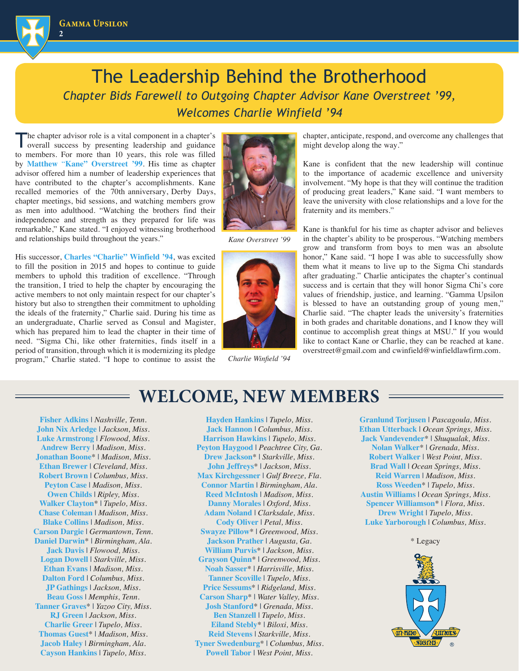

## The Leadership Behind the Brotherhood *Chapter Bids Farewell to Outgoing Chapter Advisor Kane Overstreet '99, Welcomes Charlie Winfield '94*

The chapter advisor role is a vital component in a chapter's overall success by presenting leadership and guidance to members. For more than 10 years, this role was filled by **Matthew** "**Kane" Overstreet '99**. His time as chapter advisor offered him a number of leadership experiences that have contributed to the chapter's accomplishments. Kane recalled memories of the 70th anniversary, Derby Days, chapter meetings, bid sessions, and watching members grow as men into adulthood. "Watching the brothers find their independence and strength as they prepared for life was remarkable," Kane stated. "I enjoyed witnessing brotherhood and relationships build throughout the years."

His successor, **Charles "Charlie" Winfield '94**, was excited to fill the position in 2015 and hopes to continue to guide members to uphold this tradition of excellence. "Through the transition, I tried to help the chapter by encouraging the active members to not only maintain respect for our chapter's history but also to strengthen their commitment to upholding the ideals of the fraternity," Charlie said. During his time as an undergraduate, Charlie served as Consul and Magister, which has prepared him to lead the chapter in their time of need. "Sigma Chi, like other fraternities, finds itself in a period of transition, through which it is modernizing its pledge program," Charlie stated. "I hope to continue to assist the



*Kane Overstreet '99*



*Charlie Winfield '94*

chapter, anticipate, respond, and overcome any challenges that might develop along the way."

Kane is confident that the new leadership will continue to the importance of academic excellence and university involvement. "My hope is that they will continue the tradition of producing great leaders," Kane said. "I want members to leave the university with close relationships and a love for the fraternity and its members."

Kane is thankful for his time as chapter advisor and believes in the chapter's ability to be prosperous. "Watching members grow and transform from boys to men was an absolute honor," Kane said. "I hope I was able to successfully show them what it means to live up to the Sigma Chi standards after graduating." Charlie anticipates the chapter's continual success and is certain that they will honor Sigma Chi's core values of friendship, justice, and learning. "Gamma Upsilon is blessed to have an outstanding group of young men," Charlie said. "The chapter leads the university's fraternities in both grades and charitable donations, and I know they will continue to accomplish great things at MSU." If you would like to contact Kane or Charlie, they can be reached at kane. overstreet@gmail.com and cwinfield@winfieldlawfirm.com.

## **WELCOME, NEW MEMBERS**

**Fisher Adkins** | *Nashville, Tenn.* **John Nix Arledge** | *Jackson, Miss.* **Luke Armstrong** | *Flowood, Miss.* **Andrew Berry** | *Madison, Miss.* **Jonathan Boone**\* | *Madison, Miss.* **Ethan Brewer** | *Cleveland, Miss.* **Robert Brown** | *Columbus, Miss.* **Peyton Case** | *Madison, Miss.* **Owen Childs** | *Ripley, Miss.* **Walker Clayton**\* | *Tupelo, Miss.* **Chase Coleman** | *Madison, Miss.* **Blake Collins** | *Madison, Miss.* **Carson Dargie** | *Germantown, Tenn.* **Daniel Darwin**\* | *Birmingham, Ala.* **Jack Davis** | *Flowood, Miss.* **Logan Dowell** | *Starkville, Miss.* **Ethan Evans** | *Madison, Miss.* **Dalton Ford** | *Columbus, Miss.* **JP Gathings** | *Jackson, Miss.* **Beau Goss** | *Memphis, Tenn.* **Tanner Graves**\* | *Yazoo City, Miss.* **RJ Green** | *Jackson, Miss.* **Charlie Greer** | *Tupelo, Miss.* **Thomas Guest**\* | *Madison, Miss.* **Jacob Haley** | *Birmingham, Ala.* **Cayson Hankins** | *Tupelo, Miss.*

**Hayden Hankins** | *Tupelo, Miss.* **Jack Hannon** | *Columbus, Miss.* **Harrison Hawkins** | *Tupelo, Miss.* **Peyton Haygood** | *Peachtree City, Ga.* **Drew Jackson**\* | *Starkville, Miss.* **John Jeffreys**\* | *Jackson, Miss.* **Max Kirchgessner** | *Gulf Breeze, Fla.* **Connor Martin** | *Birmingham, Ala.* **Reed McIntosh** | *Madison, Miss.* **Danny Morales** | *Oxford, Miss.* **Adam Noland** | *Clarksdale, Miss.* **Cody Oliver** | *Petal, Miss.* **Swayze Pillow**\* | *Greenwood, Miss.* **Jackson Prather** | *Augusta, Ga.* **William Purvis**\* | *Jackson, Miss.* **Grayson Quinn**\* | *Greenwood, Miss.*  **Noah Sasser**\* | *Harrisville, Miss.* **Tanner Scoville** | *Tupelo, Miss.* **Price Sessums**\* | *Ridgeland, Miss.* **Carson Sharp**\* | *Water Valley, Miss.* **Josh Stanford**\* | *Grenada, Miss.* **Ben Stanzell** | *Tupelo, Miss.* **Eiland Stebly**\* | *Biloxi, Miss.* **Reid Stevens** | *Starkville, Miss.*  **Tyner Swedenburg**\* | *Columbus, Miss.* **Powell Tabor** | *West Point, Miss.*

**Granlund Torjusen** | *Pascagoula, Miss.* **Ethan Utterback** | *Ocean Springs, Miss.* **Jack Vandevender**\* | *Shuqualak, Miss.* **Nolan Walker**\* | *Grenada, Miss.* **Robert Walker** | *West Point, Miss.* **Brad Wall** | *Ocean Springs, Miss.* **Reid Warren** | *Madison, Miss.* **Ross Weeden**\* | *Tupelo, Miss.* **Austin Williams** | *Ocean Springs, Miss.* **Spencer Williamson**\* | *Flora, Miss.* **Drew Wright** | *Tupelo, Miss.* **Luke Yarborough** | *Columbus, Miss.*



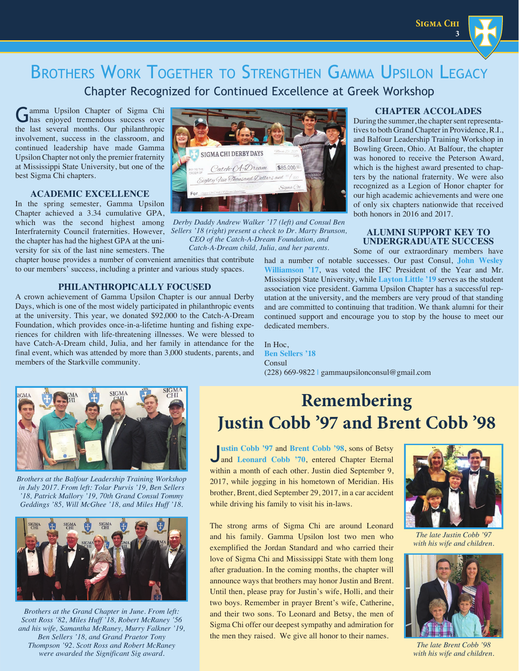**Sigma Chi**

**3**

## BROTHERS WORK TOGETHER TO STRENGTHEN GAMMA UPSILON LEGACY Chapter Recognized for Continued Excellence at Greek Workshop

Gamma Upsilon Chapter of Sigma Chi has enjoyed tremendous success over the last several months. Our philanthropic involvement, success in the classroom, and continued leadership have made Gamma Upsilon Chapter not only the premier fraternity at Mississippi State University, but one of the best Sigma Chi chapters.

### **ACADEMIC EXCELLENCE**

In the spring semester, Gamma Upsilon Chapter achieved a 3.34 cumulative GPA, the chapter has had the highest GPA at the university for six of the last nine semesters. The

chapter house provides a number of convenient amenities that contribute to our members' success, including a printer and various study spaces.

### **PHILANTHROPICALLY FOCUSED**

A crown achievement of Gamma Upsilon Chapter is our annual Derby Days, which is one of the most widely participated in philanthropic events at the university. This year, we donated \$92,000 to the Catch-A-Dream Foundation, which provides once-in-a-lifetime hunting and fishing experiences for children with life-threatening illnesses. We were blessed to have Catch-A-Dream child, Julia, and her family in attendance for the final event, which was attended by more than 3,000 students, parents, and members of the Starkville community.



which was the second highest among *Derby Daddy Andrew Walker '17 (left) and Consul Ben*  Interfraternity Council fraternities. However, *Sellers '18 (right) present a check to Dr. Marty Brunson, CEO of the Catch-A-Dream Foundation, and Catch-A-Dream child, Julia, and her parents.*

### **CHAPTER ACCOLADES**

During the summer, the chapter sent representatives to both Grand Chapter in Providence, R.I., and Balfour Leadership Training Workshop in Bowling Green, Ohio. At Balfour, the chapter was honored to receive the Peterson Award, which is the highest award presented to chapters by the national fraternity. We were also recognized as a Legion of Honor chapter for our high academic achievements and were one of only six chapters nationwide that received both honors in 2016 and 2017.

### **ALUMNI SUPPORT KEY TO UNDERGRADUATE SUCCESS**

Some of our extraordinary members have

had a number of notable successes. Our past Consul, **John Wesley Williamson '17**, was voted the IFC President of the Year and Mr. Mississippi State University, while **Layton Little '19** serves as the student association vice president. Gamma Upsilon Chapter has a successful reputation at the university, and the members are very proud of that standing and are committed to continuing that tradition. We thank alumni for their continued support and encourage you to stop by the house to meet our dedicated members.

In Hoc, **Ben Sellers '18** Consul (228) 669-9822 | gammaupsilonconsul@gmail.com



*Brothers at the Balfour Leadership Training Workshop in July 2017. From left: Tolar Purvis '19, Ben Sellers '18, Patrick Mallory '19, 70th Grand Consul Tommy Geddings '85, Will McGhee '18, and Miles Huff '18.* 



*Brothers at the Grand Chapter in June. From left: Scott Ross '82, Miles Huff '18, Robert McRaney '56 and his wife, Samantha McRaney, Murry Falkner '19, Ben Sellers '18, and Grand Praetor Tony Thompson '92. Scott Ross and Robert McRaney were awarded the Significant Sig award.*

## **Remembering Justin Cobb '97 and Brent Cobb '98**

J**ustin Cobb '97** and **Brent Cobb '98**, sons of Betsy and **Leonard Cobb '70**, entered Chapter Eternal within a month of each other. Justin died September 9, 2017, while jogging in his hometown of Meridian. His brother, Brent, died September 29, 2017, in a car accident while driving his family to visit his in-laws.

The strong arms of Sigma Chi are around Leonard and his family. Gamma Upsilon lost two men who exemplified the Jordan Standard and who carried their love of Sigma Chi and Mississippi State with them long after graduation. In the coming months, the chapter will announce ways that brothers may honor Justin and Brent. Until then, please pray for Justin's wife, Holli, and their two boys. Remember in prayer Brent's wife, Catherine, and their two sons. To Leonard and Betsy, the men of Sigma Chi offer our deepest sympathy and admiration for the men they raised. We give all honor to their names.



*The late Justin Cobb '97 with his wife and children.*



*The late Brent Cobb '98 with his wife and children.*